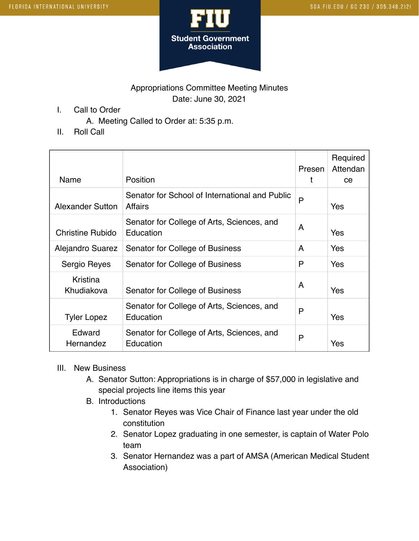

## Appropriations Committee Meeting Minutes Date: June 30, 2021

I. Call to Order

A. Meeting Called to Order at: 5:35 p.m.

II. Roll Call

| Name                    | Position                                                         | Presen | Required<br>Attendan<br>ce |
|-------------------------|------------------------------------------------------------------|--------|----------------------------|
| <b>Alexander Sutton</b> | Senator for School of International and Public<br><b>Affairs</b> | P      | Yes                        |
| <b>Christine Rubido</b> | Senator for College of Arts, Sciences, and<br>Education          | A      | Yes                        |
| Alejandro Suarez        | Senator for College of Business                                  | A      | Yes                        |
| Sergio Reyes            | Senator for College of Business                                  | P      | Yes                        |
| Kristina<br>Khudiakova  | Senator for College of Business                                  | A      | Yes                        |
| <b>Tyler Lopez</b>      | Senator for College of Arts, Sciences, and<br>Education          | P      | Yes                        |
| Edward<br>Hernandez     | Senator for College of Arts, Sciences, and<br>Education          | P      | Yes                        |

- III. New Business
	- A. Senator Sutton: Appropriations is in charge of \$57,000 in legislative and special projects line items this year
	- B. Introductions
		- 1. Senator Reyes was Vice Chair of Finance last year under the old constitution
		- 2. Senator Lopez graduating in one semester, is captain of Water Polo team
		- 3. Senator Hernandez was a part of AMSA (American Medical Student Association)